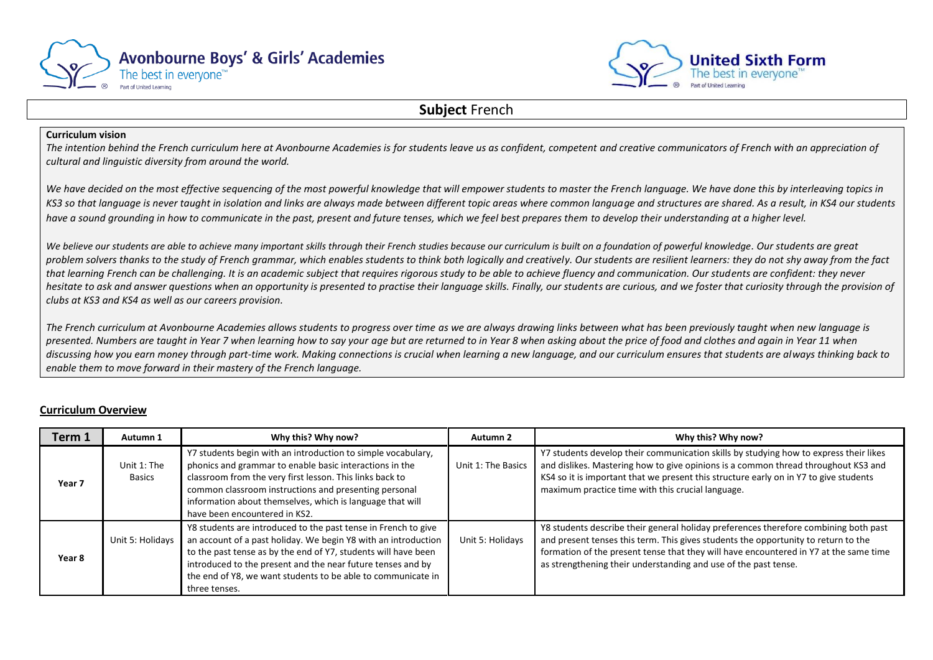



### **Subject** French

#### **Curriculum vision**

*The intention behind the French curriculum here at Avonbourne Academies is for students leave us as confident, competent and creative communicators of French with an appreciation of cultural and linguistic diversity from around the world.* 

We have decided on the most effective sequencing of the most powerful knowledge that will empower students to master the French language. We have done this by interleaving topics in *KS3 so that language is never taught in isolation and links are always made between different topic areas where common language and structures are shared. As a result, in KS4 our students have a sound grounding in how to communicate in the past, present and future tenses, which we feel best prepares them to develop their understanding at a higher level.*

*We believe our students are able to achieve many important skills through their French studies because our curriculum is built on a foundation of powerful knowledge. Our students are great problem solvers thanks to the study of French grammar, which enables students to think both logically and creatively. Our students are resilient learners: they do not shy away from the fact that learning French can be challenging. It is an academic subject that requires rigorous study to be able to achieve fluency and communication. Our students are confident: they never hesitate to ask and answer questions when an opportunity is presented to practise their language skills. Finally, our students are curious, and we foster that curiosity through the provision of clubs at KS3 and KS4 as well as our careers provision.*

*The French curriculum at Avonbourne Academies allows students to progress over time as we are always drawing links between what has been previously taught when new language is presented. Numbers are taught in Year 7 when learning how to say your age but are returned to in Year 8 when asking about the price of food and clothes and again in Year 11 when discussing how you earn money through part-time work. Making connections is crucial when learning a new language, and our curriculum ensures that students are always thinking back to enable them to move forward in their mastery of the French language.*

### **Curriculum Overview**

| Term 1            | Autumn 1                     | Why this? Why now?                                                                                                                                                                                                                                                                                                                                 | Autumn 2           | Why this? Why now?                                                                                                                                                                                                                                                                                                                     |
|-------------------|------------------------------|----------------------------------------------------------------------------------------------------------------------------------------------------------------------------------------------------------------------------------------------------------------------------------------------------------------------------------------------------|--------------------|----------------------------------------------------------------------------------------------------------------------------------------------------------------------------------------------------------------------------------------------------------------------------------------------------------------------------------------|
| Year <sub>7</sub> | Unit 1: The<br><b>Basics</b> | Y7 students begin with an introduction to simple vocabulary,<br>phonics and grammar to enable basic interactions in the<br>classroom from the very first lesson. This links back to<br>common classroom instructions and presenting personal<br>information about themselves, which is language that will<br>have been encountered in KS2.         | Unit 1: The Basics | Y7 students develop their communication skills by studying how to express their likes<br>and dislikes. Mastering how to give opinions is a common thread throughout KS3 and<br>KS4 so it is important that we present this structure early on in Y7 to give students<br>maximum practice time with this crucial language.              |
| Year 8            | Unit 5: Holidays             | Y8 students are introduced to the past tense in French to give<br>an account of a past holiday. We begin Y8 with an introduction<br>to the past tense as by the end of Y7, students will have been<br>introduced to the present and the near future tenses and by<br>the end of Y8, we want students to be able to communicate in<br>three tenses. | Unit 5: Holidays   | Y8 students describe their general holiday preferences therefore combining both past<br>and present tenses this term. This gives students the opportunity to return to the<br>formation of the present tense that they will have encountered in Y7 at the same time<br>as strengthening their understanding and use of the past tense. |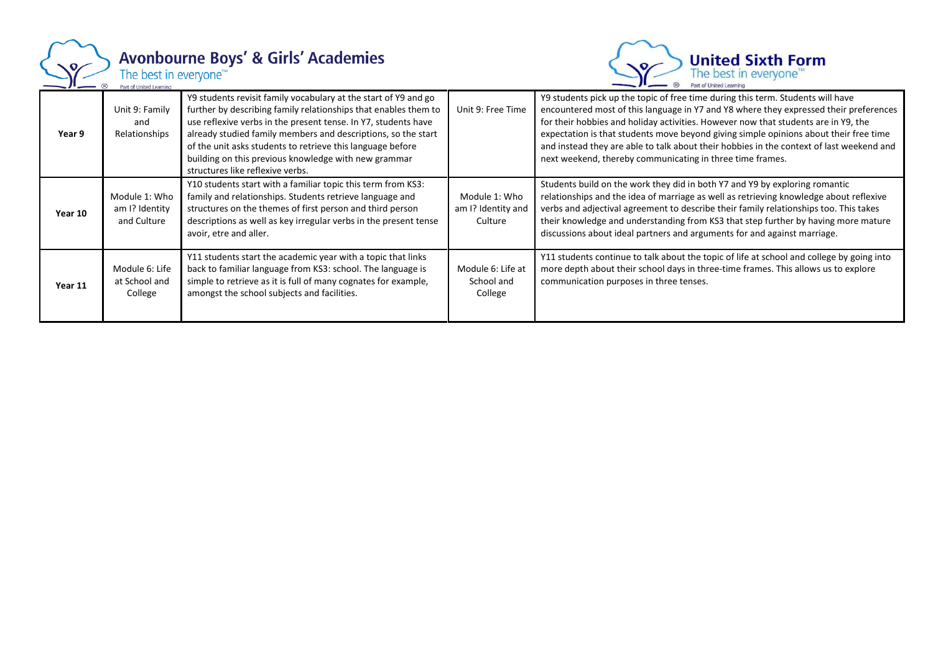

# Avonbourne Boys' & Girls' Academies<br>The best in everyone<sup>TW</sup><br>Part of United Learning



| Year 9  | Unit 9: Family<br>and<br>Relationships         | Y9 students revisit family vocabulary at the start of Y9 and go<br>further by describing family relationships that enables them to<br>use reflexive verbs in the present tense. In Y7, students have<br>already studied family members and descriptions, so the start<br>of the unit asks students to retrieve this language before<br>building on this previous knowledge with new grammar<br>structures like reflexive verbs. | Unit 9: Free Time                              | Y9 students pick up the topic of free time during this term. Students will have<br>encountered most of this language in Y7 and Y8 where they expressed their preferences<br>for their hobbies and holiday activities. However now that students are in Y9, the<br>expectation is that students move beyond giving simple opinions about their free time<br>and instead they are able to talk about their hobbies in the context of last weekend and<br>next weekend, thereby communicating in three time frames. |
|---------|------------------------------------------------|---------------------------------------------------------------------------------------------------------------------------------------------------------------------------------------------------------------------------------------------------------------------------------------------------------------------------------------------------------------------------------------------------------------------------------|------------------------------------------------|------------------------------------------------------------------------------------------------------------------------------------------------------------------------------------------------------------------------------------------------------------------------------------------------------------------------------------------------------------------------------------------------------------------------------------------------------------------------------------------------------------------|
| Year 10 | Module 1: Who<br>am I? Identity<br>and Culture | Y10 students start with a familiar topic this term from KS3:<br>family and relationships. Students retrieve language and<br>structures on the themes of first person and third person<br>descriptions as well as key irregular verbs in the present tense<br>avoir, etre and aller.                                                                                                                                             | Module 1: Who<br>am I? Identity and<br>Culture | Students build on the work they did in both Y7 and Y9 by exploring romantic<br>relationships and the idea of marriage as well as retrieving knowledge about reflexive<br>verbs and adjectival agreement to describe their family relationships too. This takes<br>their knowledge and understanding from KS3 that step further by having more mature<br>discussions about ideal partners and arguments for and against marriage.                                                                                 |
| Year 11 | Module 6: Life<br>at School and<br>College     | Y11 students start the academic year with a topic that links<br>back to familiar language from KS3: school. The language is<br>simple to retrieve as it is full of many cognates for example,<br>amongst the school subjects and facilities.                                                                                                                                                                                    | Module 6: Life at<br>School and<br>College     | Y11 students continue to talk about the topic of life at school and college by going into<br>more depth about their school days in three-time frames. This allows us to explore<br>communication purposes in three tenses.                                                                                                                                                                                                                                                                                       |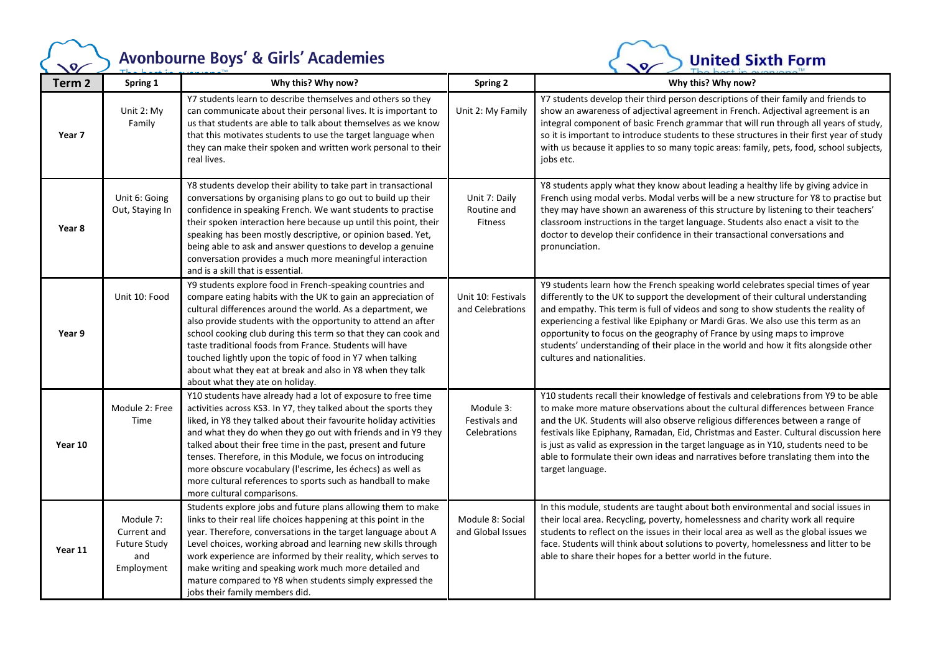### Avonbourne Boys' & Girls' Academies

 $\sqrt{Q}$ 



| Term <sub>2</sub> | Spring 1                                                             | Why this? Why now?                                                                                                                                                                                                                                                                                                                                                                                                                                                                                                                                             | <b>Spring 2</b>                                | Why this? Why now?                                                                                                                                                                                                                                                                                                                                                                                                                                                                                                                                  |
|-------------------|----------------------------------------------------------------------|----------------------------------------------------------------------------------------------------------------------------------------------------------------------------------------------------------------------------------------------------------------------------------------------------------------------------------------------------------------------------------------------------------------------------------------------------------------------------------------------------------------------------------------------------------------|------------------------------------------------|-----------------------------------------------------------------------------------------------------------------------------------------------------------------------------------------------------------------------------------------------------------------------------------------------------------------------------------------------------------------------------------------------------------------------------------------------------------------------------------------------------------------------------------------------------|
| Year 7            | Unit 2: My<br>Family                                                 | Y7 students learn to describe themselves and others so they<br>can communicate about their personal lives. It is important to<br>us that students are able to talk about themselves as we know<br>that this motivates students to use the target language when<br>they can make their spoken and written work personal to their<br>real lives.                                                                                                                                                                                                                 | Unit 2: My Family                              | Y7 students develop their third person descriptions of their family and friends to<br>show an awareness of adjectival agreement in French. Adjectival agreement is an<br>integral component of basic French grammar that will run through all years of study,<br>so it is important to introduce students to these structures in their first year of study<br>with us because it applies to so many topic areas: family, pets, food, school subjects,<br>jobs etc.                                                                                  |
| Year 8            | Unit 6: Going<br>Out, Staying In                                     | Y8 students develop their ability to take part in transactional<br>conversations by organising plans to go out to build up their<br>confidence in speaking French. We want students to practise<br>their spoken interaction here because up until this point, their<br>speaking has been mostly descriptive, or opinion based. Yet,<br>being able to ask and answer questions to develop a genuine<br>conversation provides a much more meaningful interaction<br>and is a skill that is essential.                                                            | Unit 7: Daily<br>Routine and<br><b>Fitness</b> | Y8 students apply what they know about leading a healthy life by giving advice in<br>French using modal verbs. Modal verbs will be a new structure for Y8 to practise but<br>they may have shown an awareness of this structure by listening to their teachers'<br>classroom instructions in the target language. Students also enact a visit to the<br>doctor to develop their confidence in their transactional conversations and<br>pronunciation.                                                                                               |
| Year 9            | Unit 10: Food                                                        | Y9 students explore food in French-speaking countries and<br>compare eating habits with the UK to gain an appreciation of<br>cultural differences around the world. As a department, we<br>also provide students with the opportunity to attend an after<br>school cooking club during this term so that they can cook and<br>taste traditional foods from France. Students will have<br>touched lightly upon the topic of food in Y7 when talking<br>about what they eat at break and also in Y8 when they talk<br>about what they ate on holiday.            | Unit 10: Festivals<br>and Celebrations         | Y9 students learn how the French speaking world celebrates special times of year<br>differently to the UK to support the development of their cultural understanding<br>and empathy. This term is full of videos and song to show students the reality of<br>experiencing a festival like Epiphany or Mardi Gras. We also use this term as an<br>opportunity to focus on the geography of France by using maps to improve<br>students' understanding of their place in the world and how it fits alongside other<br>cultures and nationalities.     |
| Year 10           | Module 2: Free<br>Time                                               | Y10 students have already had a lot of exposure to free time<br>activities across KS3. In Y7, they talked about the sports they<br>liked, in Y8 they talked about their favourite holiday activities<br>and what they do when they go out with friends and in Y9 they<br>talked about their free time in the past, present and future<br>tenses. Therefore, in this Module, we focus on introducing<br>more obscure vocabulary (l'escrime, les échecs) as well as<br>more cultural references to sports such as handball to make<br>more cultural comparisons. | Module 3:<br>Festivals and<br>Celebrations     | Y10 students recall their knowledge of festivals and celebrations from Y9 to be able<br>to make more mature observations about the cultural differences between France<br>and the UK. Students will also observe religious differences between a range of<br>festivals like Epiphany, Ramadan, Eid, Christmas and Easter. Cultural discussion here<br>is just as valid as expression in the target language as in Y10, students need to be<br>able to formulate their own ideas and narratives before translating them into the<br>target language. |
| Year 11           | Module 7:<br>Current and<br><b>Future Study</b><br>and<br>Employment | Students explore jobs and future plans allowing them to make<br>links to their real life choices happening at this point in the<br>year. Therefore, conversations in the target language about A<br>Level choices, working abroad and learning new skills through<br>work experience are informed by their reality, which serves to<br>make writing and speaking work much more detailed and<br>mature compared to Y8 when students simply expressed the<br>jobs their family members did.                                                                     | Module 8: Social<br>and Global Issues          | In this module, students are taught about both environmental and social issues in<br>their local area. Recycling, poverty, homelessness and charity work all require<br>students to reflect on the issues in their local area as well as the global issues we<br>face. Students will think about solutions to poverty, homelessness and litter to be<br>able to share their hopes for a better world in the future.                                                                                                                                 |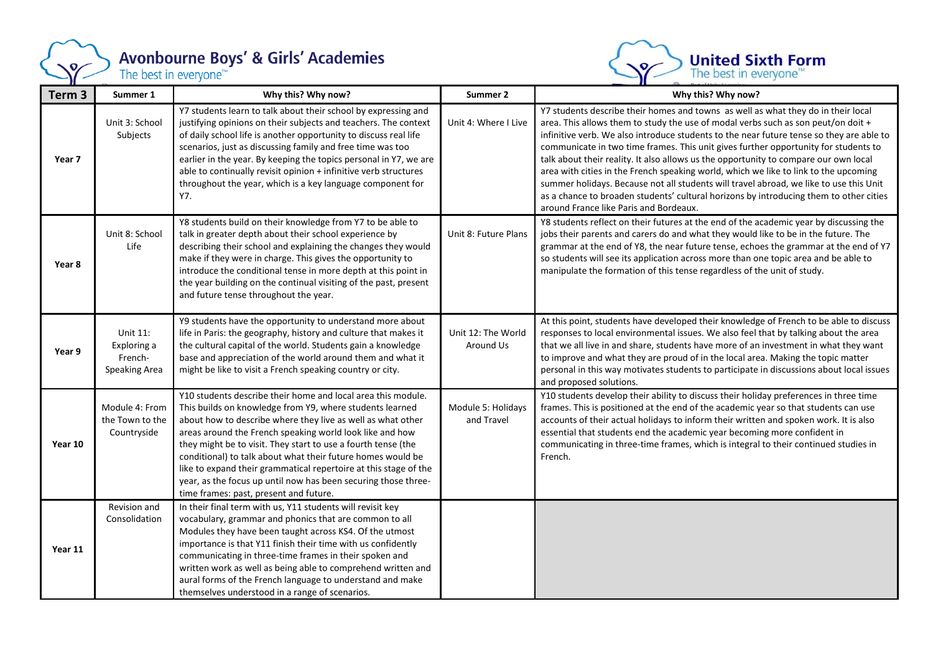

## **Avonbourne Boys' & Girls' Academies**<br>The best in everyone<sup>™</sup>



| Term 3  | Summer 1                                                   | Why this? Why now?                                                                                                                                                                                                                                                                                                                                                                                                                                                                                                                                                  | Summer 2                         | Why this? Why now?                                                                                                                                                                                                                                                                                                                                                                                                                                                                                                                                                                                                                                                                                                                                                      |
|---------|------------------------------------------------------------|---------------------------------------------------------------------------------------------------------------------------------------------------------------------------------------------------------------------------------------------------------------------------------------------------------------------------------------------------------------------------------------------------------------------------------------------------------------------------------------------------------------------------------------------------------------------|----------------------------------|-------------------------------------------------------------------------------------------------------------------------------------------------------------------------------------------------------------------------------------------------------------------------------------------------------------------------------------------------------------------------------------------------------------------------------------------------------------------------------------------------------------------------------------------------------------------------------------------------------------------------------------------------------------------------------------------------------------------------------------------------------------------------|
| Year 7  | Unit 3: School<br>Subjects                                 | Y7 students learn to talk about their school by expressing and<br>justifying opinions on their subjects and teachers. The context<br>of daily school life is another opportunity to discuss real life<br>scenarios, just as discussing family and free time was too<br>earlier in the year. By keeping the topics personal in Y7, we are<br>able to continually revisit opinion + infinitive verb structures<br>throughout the year, which is a key language component for<br>Y7.                                                                                   | Unit 4: Where I Live             | Y7 students describe their homes and towns as well as what they do in their local<br>area. This allows them to study the use of modal verbs such as son peut/on doit +<br>infinitive verb. We also introduce students to the near future tense so they are able to<br>communicate in two time frames. This unit gives further opportunity for students to<br>talk about their reality. It also allows us the opportunity to compare our own local<br>area with cities in the French speaking world, which we like to link to the upcoming<br>summer holidays. Because not all students will travel abroad, we like to use this Unit<br>as a chance to broaden students' cultural horizons by introducing them to other cities<br>around France like Paris and Bordeaux. |
| Year 8  | Unit 8: School<br>Life                                     | Y8 students build on their knowledge from Y7 to be able to<br>talk in greater depth about their school experience by<br>describing their school and explaining the changes they would<br>make if they were in charge. This gives the opportunity to<br>introduce the conditional tense in more depth at this point in<br>the year building on the continual visiting of the past, present<br>and future tense throughout the year.                                                                                                                                  | Unit 8: Future Plans             | Y8 students reflect on their futures at the end of the academic year by discussing the<br>jobs their parents and carers do and what they would like to be in the future. The<br>grammar at the end of Y8, the near future tense, echoes the grammar at the end of Y7<br>so students will see its application across more than one topic area and be able to<br>manipulate the formation of this tense regardless of the unit of study.                                                                                                                                                                                                                                                                                                                                  |
| Year 9  | Unit 11:<br>Exploring a<br>French-<br><b>Speaking Area</b> | Y9 students have the opportunity to understand more about<br>life in Paris: the geography, history and culture that makes it<br>the cultural capital of the world. Students gain a knowledge<br>base and appreciation of the world around them and what it<br>might be like to visit a French speaking country or city.                                                                                                                                                                                                                                             | Unit 12: The World<br>Around Us  | At this point, students have developed their knowledge of French to be able to discuss<br>responses to local environmental issues. We also feel that by talking about the area<br>that we all live in and share, students have more of an investment in what they want<br>to improve and what they are proud of in the local area. Making the topic matter<br>personal in this way motivates students to participate in discussions about local issues<br>and proposed solutions.                                                                                                                                                                                                                                                                                       |
| Year 10 | Module 4: From<br>the Town to the<br>Countryside           | Y10 students describe their home and local area this module.<br>This builds on knowledge from Y9, where students learned<br>about how to describe where they live as well as what other<br>areas around the French speaking world look like and how<br>they might be to visit. They start to use a fourth tense (the<br>conditional) to talk about what their future homes would be<br>like to expand their grammatical repertoire at this stage of the<br>year, as the focus up until now has been securing those three-<br>time frames: past, present and future. | Module 5: Holidays<br>and Travel | Y10 students develop their ability to discuss their holiday preferences in three time<br>frames. This is positioned at the end of the academic year so that students can use<br>accounts of their actual holidays to inform their written and spoken work. It is also<br>essential that students end the academic year becoming more confident in<br>communicating in three-time frames, which is integral to their continued studies in<br>French.                                                                                                                                                                                                                                                                                                                     |
| Year 11 | Revision and<br>Consolidation                              | In their final term with us, Y11 students will revisit key<br>vocabulary, grammar and phonics that are common to all<br>Modules they have been taught across KS4. Of the utmost<br>importance is that Y11 finish their time with us confidently<br>communicating in three-time frames in their spoken and<br>written work as well as being able to comprehend written and<br>aural forms of the French language to understand and make<br>themselves understood in a range of scenarios.                                                                            |                                  |                                                                                                                                                                                                                                                                                                                                                                                                                                                                                                                                                                                                                                                                                                                                                                         |